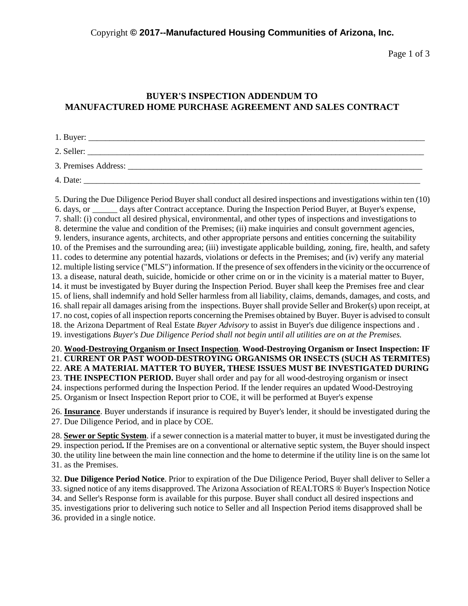Copyright **© 2017--Manufactured Housing Communities of Arizona, Inc.**

Page 1 of 3

## **BUYER'S INSPECTION ADDENDUM TO MANUFACTURED HOME PURCHASE AGREEMENT AND SALES CONTRACT**

| 2. Seller:           |
|----------------------|
| 3. Premises Address: |
| 4. Date:             |

5. During the Due Diligence Period Buyer shall conduct all desired inspections and investigations within ten (10) 6. days, or days after Contract acceptance. During the Inspection Period Buyer, at Buyer's expense, 7. shall: (i) conduct all desired physical, environmental, and other types of inspections and investigations to 8. determine the value and condition of the Premises; (ii) make inquiries and consult government agencies, 9. lenders, insurance agents, architects, and other appropriate persons and entities concerning the suitability 10. of the Premises and the surrounding area; (iii) investigate applicable building, zoning, fire, health, and safety 11. codes to determine any potential hazards, violations or defects in the Premises; and (iv) verify any material 12. multiple listing service ("MLS") information. If the presence of sex offenders in the vicinity or the occurrence of 13. a disease, natural death, suicide, homicide or other crime on or in the vicinity is a material matter to Buyer, 14. it must be investigated by Buyer during the Inspection Period. Buyer shall keep the Premises free and clear 15. of liens, shall indemnify and hold Seller harmless from all liability, claims, demands, damages, and costs, and 16. shall repair all damages arising from the inspections. Buyer shall provide Seller and Broker(s) upon receipt, at 17. no cost, copies of all inspection reports concerning the Premises obtained by Buyer. Buyer is advised to consult 18. the Arizona Department of Real Estate *Buyer Advisory* to assist in Buyer's due diligence inspections and . 19. investigations *Buyer's Due Diligence Period shall not begin until all utilities are on at the Premises.* 20. **Wood-Destroying Organism or Insect Inspection**. **Wood-Destroying Organism or Insect Inspection: IF** 21. **CURRENT OR PAST WOOD-DESTROYING ORGANISMS OR INSECTS (SUCH AS TERMITES)** 22. **ARE A MATERIAL MATTER TO BUYER, THESE ISSUES MUST BE INVESTIGATED DURING** 23. **THE INSPECTION PERIOD.** Buyer shall order and pay for all wood-destroying organism or insect 24. inspections performed during the Inspection Period. If the lender requires an updated Wood-Destroying

25. Organism or Insect Inspection Report prior to COE, it will be performed at Buyer's expense

26. **Insurance**. Buyer understands if insurance is required by Buyer's lender, it should be investigated during the 27. Due Diligence Period, and in place by COE.

28. **Sewer or Septic System**. if a sewer connection is a material matter to buyer, it must be investigated during the 29. inspection period**.** If the Premises are on a conventional or alternative septic system, the Buyer should inspect 30. the utility line between the main line connection and the home to determine if the utility line is on the same lot 31. as the Premises.

32. **Due Diligence Period Notice**. Prior to expiration of the Due Diligence Period, Buyer shall deliver to Seller a 33. signed notice of any items disapproved. The Arizona Association of REALTORS ® Buyer's Inspection Notice 34. and Seller's Response form is available for this purpose. Buyer shall conduct all desired inspections and 35. investigations prior to delivering such notice to Seller and all Inspection Period items disapproved shall be 36. provided in a single notice.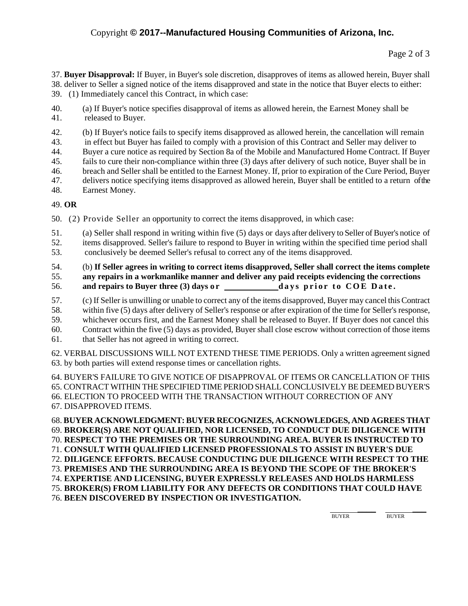37. **Buyer Disapproval:** If Buyer, in Buyer's sole discretion, disapproves of items as allowed herein, Buyer shall 38. deliver to Seller a signed notice of the items disapproved and state in the notice that Buyer elects to either: 39. (1) Immediately cancel this Contract, in which case:

- 40. (a) If Buyer's notice specifies disapproval of items as allowed herein, the Earnest Money shall be 41. released to Buyer.
- 42. (b) If Buyer's notice fails to specify items disapproved as allowed herein, the cancellation will remain
- 43. in effect but Buyer has failed to comply with a provision of this Contract and Seller may deliver to
- 44. Buyer a cure notice as required by Section 8a of the Mobile and Manufactured Home Contract. If Buyer
- 45. fails to cure their non-compliance within three (3) days after delivery of such notice, Buyer shall be in
- 46. breach and Seller shall be entitled to the Earnest Money. If, prior to expiration of the Cure Period, Buyer
- 47. delivers notice specifying items disapproved as allowed herein, Buyer shall be entitled to a return ofthe 48. Earnest Money.

## 49. **OR**

50. (2) Provide Seller an opportunity to correct the items disapproved, in which case:

- 51. (a) Seller shall respond in writing within five (5) days or days after delivery to Seller of Buyer's notice of 52. items disapproved. Seller's failure to respond to Buyer in writing within the specified time period shall
- 53. conclusively be deemed Seller's refusal to correct any of the items disapproved.

54. (b) **If Seller agrees in writing to correct items disapproved, Seller shall correct the items complete** 55. **any repairs in a workmanlike manner and deliver any paid receipts evidencing the corrections** 56. **and repairs to Buyer three (3) days or days prior to COE Date.** 

- 57. (c) If Seller is unwilling or unable to correct any of the items disapproved, Buyer may cancel this Contract
- 58. within five (5) days after delivery of Seller's response or after expiration of the time for Seller's response,
- 59. whichever occurs first, and the Earnest Money shall be released to Buyer. If Buyer does not cancel this
- 60. Contract within the five (5) days as provided, Buyer shall close escrow without correction of those items
- 61. that Seller has not agreed in writing to correct.

62. VERBAL DISCUSSIONS WILL NOT EXTEND THESE TIME PERIODS. Only a written agreement signed 63. by both parties will extend response times or cancellation rights.

64. BUYER'S FAILURE TO GIVE NOTICE OF DISAPPROVAL OF ITEMS OR CANCELLATION OF THIS 65. CONTRACT WITHIN THE SPECIFIED TIME PERIOD SHALL CONCLUSIVELY BE DEEMED BUYER'S 66. ELECTION TO PROCEED WITH THE TRANSACTION WITHOUT CORRECTION OF ANY

67. DISAPPROVED ITEMS.

68. **BUYER ACKNOWLEDGMENT: BUYER RECOGNIZES, ACKNOWLEDGES, AND AGREES THAT** 69. **BROKER(S) ARE NOT QUALIFIED, NOR LICENSED, TO CONDUCT DUE DILIGENCE WITH** 70. **RESPECT TO THE PREMISES OR THE SURROUNDING AREA. BUYER IS INSTRUCTED TO** 71. **CONSULT WITH QUALIFIED LICENSED PROFESSIONALS TO ASSIST IN BUYER'S DUE** 72. **DILIGENCE EFFORTS. BECAUSE CONDUCTING DUE DILIGENCE WITH RESPECT TO THE** 73. **PREMISES AND THE SURROUNDING AREA IS BEYOND THE SCOPE OF THE BROKER'S** 74. **EXPERTISE AND LICENSING, BUYER EXPRESSLY RELEASES AND HOLDS HARMLESS** 75. **BROKER(S) FROM LIABILITY FOR ANY DEFECTS OR CONDITIONS THAT COULD HAVE** 76. **BEEN DISCOVERED BY INSPECTION OR INVESTIGATION.**

> \_\_\_\_ \_\_\_ BUYER BUYER